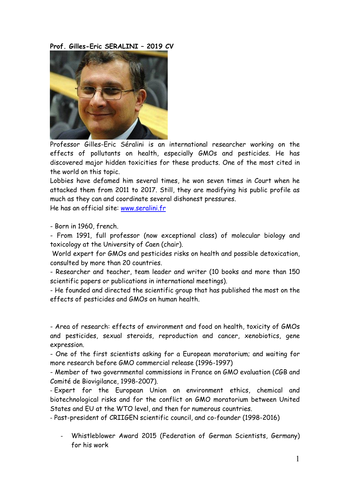**Prof. Gilles-Eric SERALINI – 2019 CV**



Professor Gilles-Eric Séralini is an international researcher working on the effects of pollutants on health, especially GMOs and pesticides. He has discovered major hidden toxicities for these products. One of the most cited in the world on this topic.

Lobbies have defamed him several times, he won seven times in Court when he attacked them from 2011 to 2017. Still, they are modifying his public profile as much as they can and coordinate several dishonest pressures.

He has an official site: [www.seralini.fr](http://www.seralini.fr/)

- Born in 1960, french.

- From 1991, full professor (now exceptional class) of molecular biology and toxicology at the University of Caen (chair).

World expert for GMOs and pesticides risks on health and possible detoxication, consulted by more than 20 countries.

- Researcher and teacher, team leader and writer (10 books and more than 150 scientific papers or publications in international meetings).

- He founded and directed the scientific group that has published the most on the effects of pesticides and GMOs on human health.

- Area of research: effects of environment and food on health, toxicity of GMOs and pesticides, sexual steroids, reproduction and cancer, xenobiotics, gene expression.

- One of the first scientists asking for a European moratorium; and waiting for more research before GMO commercial release (1996-1997)

- Member of two governmental commissions in France on GMO evaluation (CGB and Comité de Biovigilance, 1998-2007).

- Expert for the European Union on environment ethics, chemical and biotechnological risks and for the conflict on GMO moratorium between United States and EU at the WTO level, and then for numerous countries.

- Past-president of CRIIGEN scientific council, and co-founder (1998-2016)

- Whistleblower Award 2015 (Federation of German Scientists, Germany) for his work